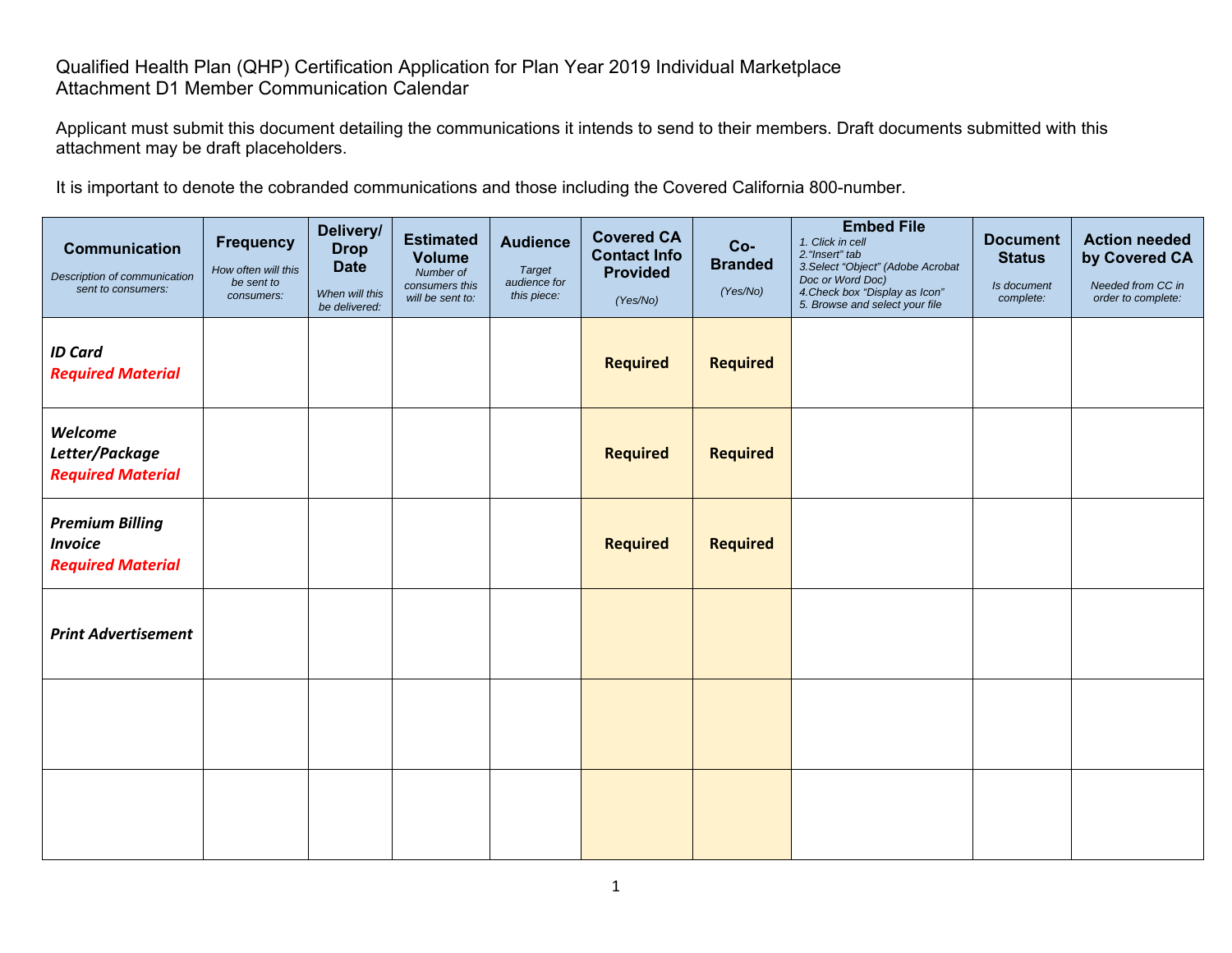## Qualified Health Plan (QHP) Certification Application for Plan Year 2019 Individual Marketplace Attachment D1 Member Communication Calendar

Applicant must submit this document detailing the communications it intends to send to their members. Draft documents submitted with this attachment may be draft placeholders.

It is important to denote the cobranded communications and those including the Covered California 800-number.

| <b>Communication</b><br>Description of communication<br>sent to consumers: | <b>Frequency</b><br>How often will this<br>be sent to<br>consumers: | Delivery/<br><b>Drop</b><br><b>Date</b><br>When will this<br>be delivered: | <b>Estimated</b><br><b>Volume</b><br>Number of<br>consumers this<br>will be sent to: | <b>Audience</b><br><b>Target</b><br>audience for<br>this piece: | <b>Covered CA</b><br><b>Contact Info</b><br><b>Provided</b><br>(Yes/No) | Co-<br><b>Branded</b><br>(Yes/No) | <b>Embed File</b><br>1. Click in cell<br>2. "Insert" tab<br>3. Select "Object" (Adobe Acrobat<br>Doc or Word Doc)<br>4. Check box "Display as Icon"<br>5. Browse and select your file | <b>Document</b><br><b>Status</b><br>Is document<br>complete: | <b>Action needed</b><br>by Covered CA<br>Needed from CC in<br>order to complete: |
|----------------------------------------------------------------------------|---------------------------------------------------------------------|----------------------------------------------------------------------------|--------------------------------------------------------------------------------------|-----------------------------------------------------------------|-------------------------------------------------------------------------|-----------------------------------|---------------------------------------------------------------------------------------------------------------------------------------------------------------------------------------|--------------------------------------------------------------|----------------------------------------------------------------------------------|
| <b>ID Card</b><br><b>Required Material</b>                                 |                                                                     |                                                                            |                                                                                      |                                                                 | <b>Required</b>                                                         | <b>Required</b>                   |                                                                                                                                                                                       |                                                              |                                                                                  |
| Welcome<br>Letter/Package<br><b>Required Material</b>                      |                                                                     |                                                                            |                                                                                      |                                                                 | <b>Required</b>                                                         | <b>Required</b>                   |                                                                                                                                                                                       |                                                              |                                                                                  |
| <b>Premium Billing</b><br><b>Invoice</b><br><b>Required Material</b>       |                                                                     |                                                                            |                                                                                      |                                                                 | <b>Required</b>                                                         | <b>Required</b>                   |                                                                                                                                                                                       |                                                              |                                                                                  |
| <b>Print Advertisement</b>                                                 |                                                                     |                                                                            |                                                                                      |                                                                 |                                                                         |                                   |                                                                                                                                                                                       |                                                              |                                                                                  |
|                                                                            |                                                                     |                                                                            |                                                                                      |                                                                 |                                                                         |                                   |                                                                                                                                                                                       |                                                              |                                                                                  |
|                                                                            |                                                                     |                                                                            |                                                                                      |                                                                 |                                                                         |                                   |                                                                                                                                                                                       |                                                              |                                                                                  |